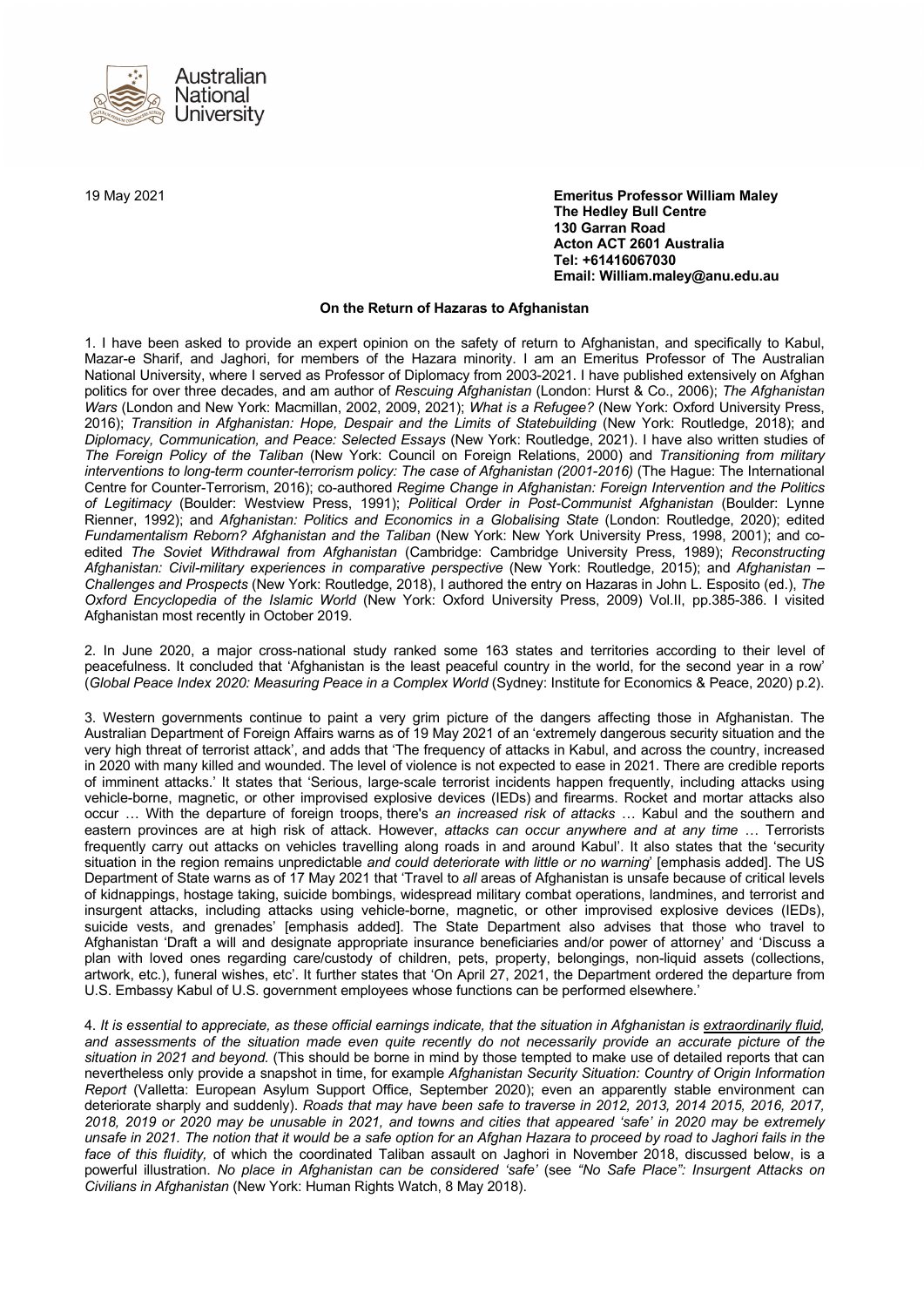

19 May 2021 **Emeritus Professor William Maley The Hedley Bull Centre 130 Garran Road Acton ACT 2601 Australia Tel: +61416067030 Email: William.maley@anu.edu.au**

## **On the Return of Hazaras to Afghanistan**

1. I have been asked to provide an expert opinion on the safety of return to Afghanistan, and specifically to Kabul, Mazar-e Sharif, and Jaghori, for members of the Hazara minority. I am an Emeritus Professor of The Australian National University, where I served as Professor of Diplomacy from 2003-2021. I have published extensively on Afghan politics for over three decades, and am author of *Rescuing Afghanistan* (London: Hurst & Co., 2006); *The Afghanistan Wars* (London and New York: Macmillan, 2002, 2009, 2021); *What is a Refugee?* (New York: Oxford University Press, 2016); *Transition in Afghanistan: Hope, Despair and the Limits of Statebuilding* (New York: Routledge, 2018); and *Diplomacy, Communication, and Peace: Selected Essays* (New York: Routledge, 2021). I have also written studies of *The Foreign Policy of the Taliban* (New York: Council on Foreign Relations, 2000) and *Transitioning from military interventions to long-term counter-terrorism policy: The case of Afghanistan (2001-2016)* (The Hague: The International Centre for Counter-Terrorism, 2016); co-authored *Regime Change in Afghanistan: Foreign Intervention and the Politics of Legitimacy* (Boulder: Westview Press, 1991); *Political Order in Post-Communist Afghanistan* (Boulder: Lynne Rienner, 1992); and *Afghanistan: Politics and Economics in a Globalising State* (London: Routledge, 2020); edited *Fundamentalism Reborn? Afghanistan and the Taliban* (New York: New York University Press, 1998, 2001); and coedited *The Soviet Withdrawal from Afghanistan* (Cambridge: Cambridge University Press, 1989); *Reconstructing Afghanistan: Civil-military experiences in comparative perspective* (New York: Routledge, 2015); and *Afghanistan – Challenges and Prospects* (New York: Routledge, 2018), I authored the entry on Hazaras in John L. Esposito (ed.), *The Oxford Encyclopedia of the Islamic World* (New York: Oxford University Press, 2009) Vol.II, pp.385-386. I visited Afghanistan most recently in October 2019.

2. In June 2020, a major cross-national study ranked some 163 states and territories according to their level of peacefulness. It concluded that 'Afghanistan is the least peaceful country in the world, for the second year in a row' (*Global Peace Index 2020: Measuring Peace in a Complex World* (Sydney: Institute for Economics & Peace, 2020) p.2).

3. Western governments continue to paint a very grim picture of the dangers affecting those in Afghanistan. The Australian Department of Foreign Affairs warns as of 19 May 2021 of an 'extremely dangerous security situation and the very high threat of terrorist attack', and adds that 'The frequency of attacks in Kabul, and across the country, increased in 2020 with many killed and wounded. The level of violence is not expected to ease in 2021. There are credible reports of imminent attacks.' It states that 'Serious, large-scale terrorist incidents happen frequently, including attacks using vehicle-borne, magnetic, or other improvised explosive devices (IEDs) and firearms. Rocket and mortar attacks also occur … With the departure of foreign troops, there's *an increased risk of attacks* … Kabul and the southern and eastern provinces are at high risk of attack. However, *attacks can occur anywhere and at any time* … Terrorists frequently carry out attacks on vehicles travelling along roads in and around Kabul'. It also states that the 'security situation in the region remains unpredictable *and could deteriorate with little or no warning*' [emphasis added]. The US Department of State warns as of 17 May 2021 that 'Travel to *all* areas of Afghanistan is unsafe because of critical levels of kidnappings, hostage taking, suicide bombings, widespread military combat operations, landmines, and terrorist and insurgent attacks, including attacks using vehicle-borne, magnetic, or other improvised explosive devices (IEDs), suicide vests, and grenades' [emphasis added]. The State Department also advises that those who travel to Afghanistan 'Draft a will and designate appropriate insurance beneficiaries and/or power of attorney' and 'Discuss a plan with loved ones regarding care/custody of children, pets, property, belongings, non-liquid assets (collections, artwork, etc.), funeral wishes, etc'. It further states that 'On April 27, 2021, the Department ordered the departure from U.S. Embassy Kabul of U.S. government employees whose functions can be performed elsewhere.'

4. *It is essential to appreciate, as these official earnings indicate, that the situation in Afghanistan is extraordinarily fluid, and assessments of the situation made even quite recently do not necessarily provide an accurate picture of the situation in 2021 and beyond.* (This should be borne in mind by those tempted to make use of detailed reports that can nevertheless only provide a snapshot in time, for example *Afghanistan Security Situation: Country of Origin Information Report* (Valletta: European Asylum Support Office, September 2020); even an apparently stable environment can deteriorate sharply and suddenly). *Roads that may have been safe to traverse in 2012, 2013, 2014 2015, 2016, 2017, 2018, 2019 or 2020 may be unusable in 2021, and towns and cities that appeared 'safe' in 2020 may be extremely unsafe in 2021. The notion that it would be a safe option for an Afghan Hazara to proceed by road to Jaghori fails in the face of this fluidity,* of which the coordinated Taliban assault on Jaghori in November 2018, discussed below, is a powerful illustration. *No place in Afghanistan can be considered 'safe'* (see *"No Safe Place": Insurgent Attacks on Civilians in Afghanistan* (New York: Human Rights Watch, 8 May 2018).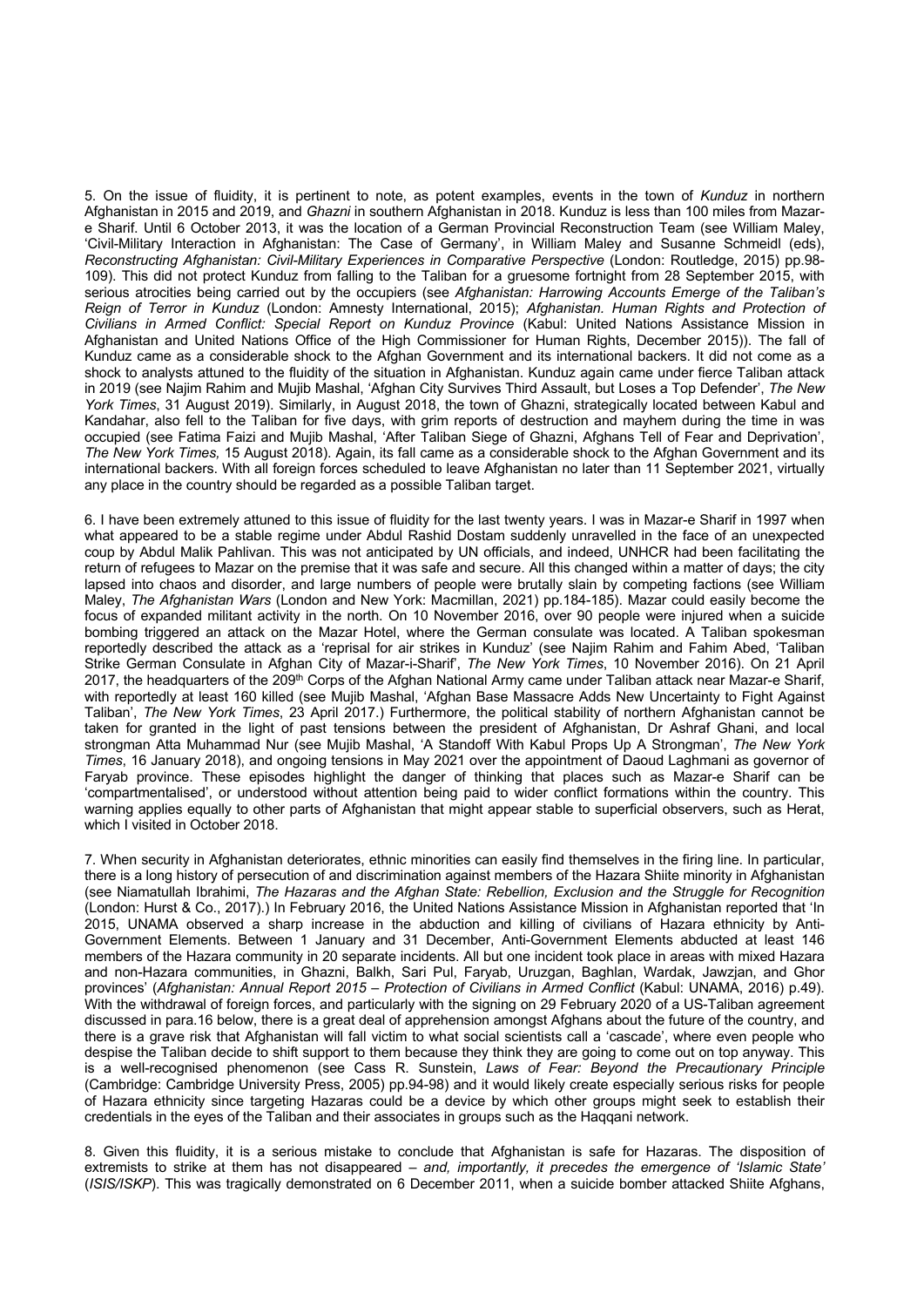5. On the issue of fluidity, it is pertinent to note, as potent examples, events in the town of *Kunduz* in northern Afghanistan in 2015 and 2019, and *Ghazni* in southern Afghanistan in 2018. Kunduz is less than 100 miles from Mazare Sharif. Until 6 October 2013, it was the location of a German Provincial Reconstruction Team (see William Maley, 'Civil-Military Interaction in Afghanistan: The Case of Germany', in William Maley and Susanne Schmeidl (eds), *Reconstructing Afghanistan: Civil-Military Experiences in Comparative Perspective* (London: Routledge, 2015) pp.98- 109). This did not protect Kunduz from falling to the Taliban for a gruesome fortnight from 28 September 2015, with serious atrocities being carried out by the occupiers (see *Afghanistan: Harrowing Accounts Emerge of the Taliban's Reign of Terror in Kunduz* (London: Amnesty International, 2015); *Afghanistan. Human Rights and Protection of Civilians in Armed Conflict: Special Report on Kunduz Province* (Kabul: United Nations Assistance Mission in Afghanistan and United Nations Office of the High Commissioner for Human Rights, December 2015)). The fall of Kunduz came as a considerable shock to the Afghan Government and its international backers. It did not come as a shock to analysts attuned to the fluidity of the situation in Afghanistan. Kunduz again came under fierce Taliban attack in 2019 (see Najim Rahim and Mujib Mashal, 'Afghan City Survives Third Assault, but Loses a Top Defender', *The New York Times*, 31 August 2019). Similarly, in August 2018, the town of Ghazni, strategically located between Kabul and Kandahar, also fell to the Taliban for five days, with grim reports of destruction and mayhem during the time in was occupied (see Fatima Faizi and Mujib Mashal, 'After Taliban Siege of Ghazni, Afghans Tell of Fear and Deprivation', *The New York Times,* 15 August 2018). Again, its fall came as a considerable shock to the Afghan Government and its international backers. With all foreign forces scheduled to leave Afghanistan no later than 11 September 2021, virtually any place in the country should be regarded as a possible Taliban target.

6. I have been extremely attuned to this issue of fluidity for the last twenty years. I was in Mazar-e Sharif in 1997 when what appeared to be a stable regime under Abdul Rashid Dostam suddenly unravelled in the face of an unexpected coup by Abdul Malik Pahlivan. This was not anticipated by UN officials, and indeed, UNHCR had been facilitating the return of refugees to Mazar on the premise that it was safe and secure. All this changed within a matter of days; the city lapsed into chaos and disorder, and large numbers of people were brutally slain by competing factions (see William Maley, *The Afghanistan Wars* (London and New York: Macmillan, 2021) pp.184-185). Mazar could easily become the focus of expanded militant activity in the north. On 10 November 2016, over 90 people were injured when a suicide bombing triggered an attack on the Mazar Hotel, where the German consulate was located. A Taliban spokesman reportedly described the attack as a 'reprisal for air strikes in Kunduz' (see Najim Rahim and Fahim Abed, 'Taliban Strike German Consulate in Afghan City of Mazar-i-Sharif', *The New York Times*, 10 November 2016). On 21 April 2017, the headquarters of the 209<sup>th</sup> Corps of the Afghan National Army came under Taliban attack near Mazar-e Sharif, with reportedly at least 160 killed (see Mujib Mashal, 'Afghan Base Massacre Adds New Uncertainty to Fight Against Taliban', *The New York Times*, 23 April 2017.) Furthermore, the political stability of northern Afghanistan cannot be taken for granted in the light of past tensions between the president of Afghanistan, Dr Ashraf Ghani, and local strongman Atta Muhammad Nur (see Mujib Mashal, 'A Standoff With Kabul Props Up A Strongman', *The New York Times*, 16 January 2018), and ongoing tensions in May 2021 over the appointment of Daoud Laghmani as governor of Faryab province. These episodes highlight the danger of thinking that places such as Mazar-e Sharif can be 'compartmentalised', or understood without attention being paid to wider conflict formations within the country. This warning applies equally to other parts of Afghanistan that might appear stable to superficial observers, such as Herat, which I visited in October 2018.

7. When security in Afghanistan deteriorates, ethnic minorities can easily find themselves in the firing line. In particular, there is a long history of persecution of and discrimination against members of the Hazara Shiite minority in Afghanistan (see Niamatullah Ibrahimi, *The Hazaras and the Afghan State: Rebellion, Exclusion and the Struggle for Recognition* (London: Hurst & Co., 2017).) In February 2016, the United Nations Assistance Mission in Afghanistan reported that 'In 2015, UNAMA observed a sharp increase in the abduction and killing of civilians of Hazara ethnicity by Anti-Government Elements. Between 1 January and 31 December, Anti-Government Elements abducted at least 146 members of the Hazara community in 20 separate incidents. All but one incident took place in areas with mixed Hazara and non-Hazara communities, in Ghazni, Balkh, Sari Pul, Faryab, Uruzgan, Baghlan, Wardak, Jawzjan, and Ghor provinces' (*Afghanistan: Annual Report 2015 – Protection of Civilians in Armed Conflict* (Kabul: UNAMA, 2016) p.49). With the withdrawal of foreign forces, and particularly with the signing on 29 February 2020 of a US-Taliban agreement discussed in para.16 below, there is a great deal of apprehension amongst Afghans about the future of the country, and there is a grave risk that Afghanistan will fall victim to what social scientists call a 'cascade', where even people who despise the Taliban decide to shift support to them because they think they are going to come out on top anyway. This is a well-recognised phenomenon (see Cass R. Sunstein, *Laws of Fear: Beyond the Precautionary Principle* (Cambridge: Cambridge University Press, 2005) pp.94-98) and it would likely create especially serious risks for people of Hazara ethnicity since targeting Hazaras could be a device by which other groups might seek to establish their credentials in the eyes of the Taliban and their associates in groups such as the Haqqani network.

8. Given this fluidity, it is a serious mistake to conclude that Afghanistan is safe for Hazaras. The disposition of extremists to strike at them has not disappeared – *and, importantly, it precedes the emergence of 'Islamic State'* (*ISIS/ISKP*). This was tragically demonstrated on 6 December 2011, when a suicide bomber attacked Shiite Afghans,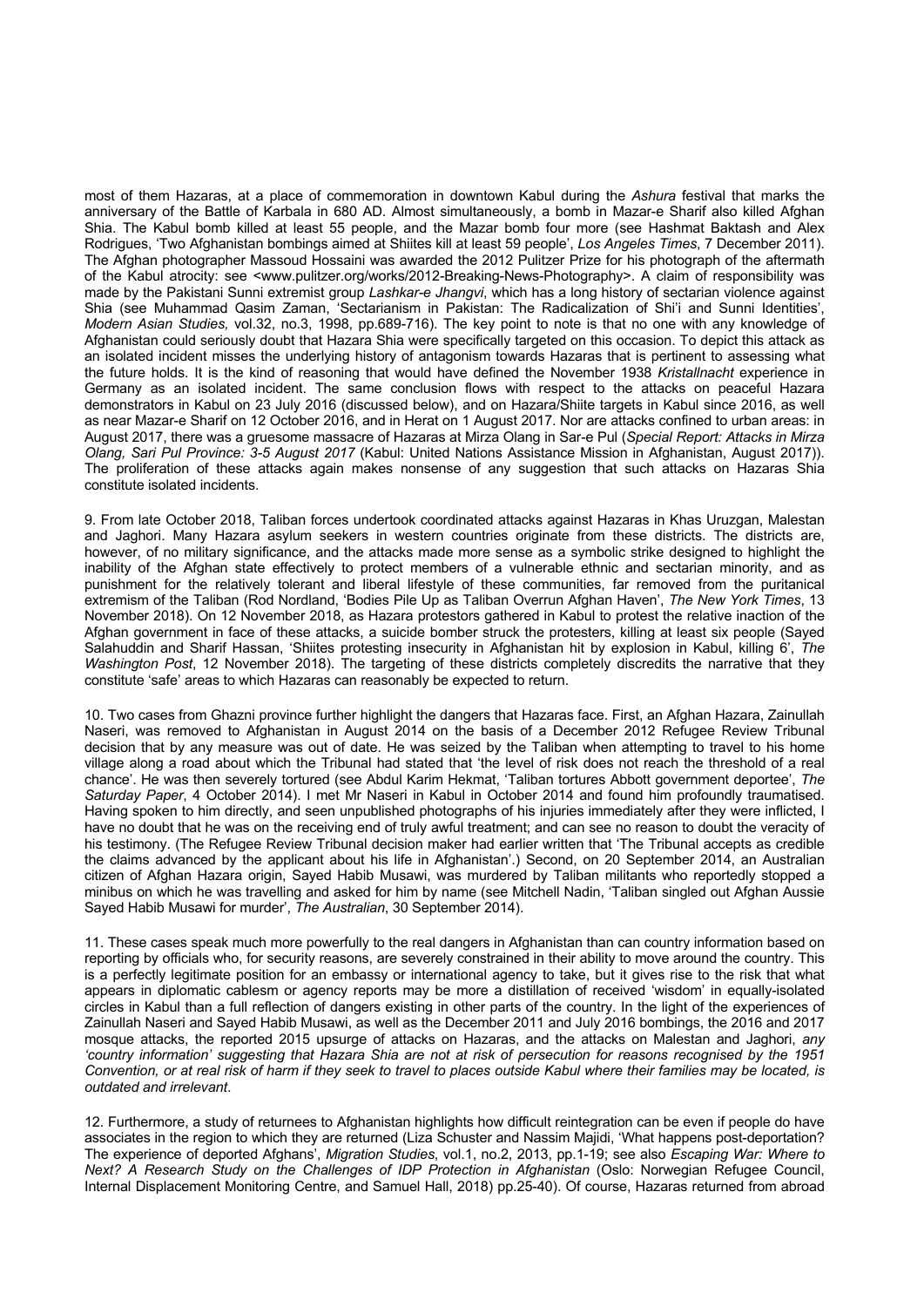most of them Hazaras, at a place of commemoration in downtown Kabul during the *Ashura* festival that marks the anniversary of the Battle of Karbala in 680 AD. Almost simultaneously, a bomb in Mazar-e Sharif also killed Afghan Shia. The Kabul bomb killed at least 55 people, and the Mazar bomb four more (see Hashmat Baktash and Alex Rodrigues, 'Two Afghanistan bombings aimed at Shiites kill at least 59 people', *Los Angeles Times*, 7 December 2011). The Afghan photographer Massoud Hossaini was awarded the 2012 Pulitzer Prize for his photograph of the aftermath of the Kabul atrocity: see <www.pulitzer.org/works/2012-Breaking-News-Photography>. A claim of responsibility was made by the Pakistani Sunni extremist group *Lashkar-e Jhangvi*, which has a long history of sectarian violence against Shia (see Muhammad Qasim Zaman, 'Sectarianism in Pakistan: The Radicalization of Shi'i and Sunni Identities', *Modern Asian Studies,* vol.32, no.3, 1998, pp.689-716). The key point to note is that no one with any knowledge of Afghanistan could seriously doubt that Hazara Shia were specifically targeted on this occasion. To depict this attack as an isolated incident misses the underlying history of antagonism towards Hazaras that is pertinent to assessing what the future holds. It is the kind of reasoning that would have defined the November 1938 *Kristallnacht* experience in Germany as an isolated incident. The same conclusion flows with respect to the attacks on peaceful Hazara demonstrators in Kabul on 23 July 2016 (discussed below), and on Hazara/Shiite targets in Kabul since 2016, as well as near Mazar-e Sharif on 12 October 2016, and in Herat on 1 August 2017. Nor are attacks confined to urban areas: in August 2017, there was a gruesome massacre of Hazaras at Mirza Olang in Sar-e Pul (*Special Report: Attacks in Mirza Olang, Sari Pul Province: 3-5 August 2017* (Kabul: United Nations Assistance Mission in Afghanistan, August 2017)). The proliferation of these attacks again makes nonsense of any suggestion that such attacks on Hazaras Shia constitute isolated incidents.

9. From late October 2018, Taliban forces undertook coordinated attacks against Hazaras in Khas Uruzgan, Malestan and Jaghori. Many Hazara asylum seekers in western countries originate from these districts. The districts are, however, of no military significance, and the attacks made more sense as a symbolic strike designed to highlight the inability of the Afghan state effectively to protect members of a vulnerable ethnic and sectarian minority, and as punishment for the relatively tolerant and liberal lifestyle of these communities, far removed from the puritanical extremism of the Taliban (Rod Nordland, 'Bodies Pile Up as Taliban Overrun Afghan Haven', *The New York Times*, 13 November 2018). On 12 November 2018, as Hazara protestors gathered in Kabul to protest the relative inaction of the Afghan government in face of these attacks, a suicide bomber struck the protesters, killing at least six people (Sayed Salahuddin and Sharif Hassan, 'Shiites protesting insecurity in Afghanistan hit by explosion in Kabul, killing 6', *The Washington Post*, 12 November 2018). The targeting of these districts completely discredits the narrative that they constitute 'safe' areas to which Hazaras can reasonably be expected to return.

10. Two cases from Ghazni province further highlight the dangers that Hazaras face. First, an Afghan Hazara, Zainullah Naseri, was removed to Afghanistan in August 2014 on the basis of a December 2012 Refugee Review Tribunal decision that by any measure was out of date. He was seized by the Taliban when attempting to travel to his home village along a road about which the Tribunal had stated that 'the level of risk does not reach the threshold of a real chance'. He was then severely tortured (see Abdul Karim Hekmat, 'Taliban tortures Abbott government deportee', *The Saturday Paper*, 4 October 2014). I met Mr Naseri in Kabul in October 2014 and found him profoundly traumatised. Having spoken to him directly, and seen unpublished photographs of his injuries immediately after they were inflicted, I have no doubt that he was on the receiving end of truly awful treatment; and can see no reason to doubt the veracity of his testimony. (The Refugee Review Tribunal decision maker had earlier written that 'The Tribunal accepts as credible the claims advanced by the applicant about his life in Afghanistan'.) Second, on 20 September 2014, an Australian citizen of Afghan Hazara origin, Sayed Habib Musawi, was murdered by Taliban militants who reportedly stopped a minibus on which he was travelling and asked for him by name (see Mitchell Nadin, 'Taliban singled out Afghan Aussie Sayed Habib Musawi for murder', *The Australian*, 30 September 2014).

11. These cases speak much more powerfully to the real dangers in Afghanistan than can country information based on reporting by officials who, for security reasons, are severely constrained in their ability to move around the country. This is a perfectly legitimate position for an embassy or international agency to take, but it gives rise to the risk that what appears in diplomatic cablesm or agency reports may be more a distillation of received 'wisdom' in equally-isolated circles in Kabul than a full reflection of dangers existing in other parts of the country. In the light of the experiences of Zainullah Naseri and Sayed Habib Musawi, as well as the December 2011 and July 2016 bombings, the 2016 and 2017 mosque attacks, the reported 2015 upsurge of attacks on Hazaras, and the attacks on Malestan and Jaghori, *any 'country information' suggesting that Hazara Shia are not at risk of persecution for reasons recognised by the 1951 Convention, or at real risk of harm if they seek to travel to places outside Kabul where their families may be located, is outdated and irrelevant*.

12. Furthermore, a study of returnees to Afghanistan highlights how difficult reintegration can be even if people do have associates in the region to which they are returned (Liza Schuster and Nassim Majidi, 'What happens post-deportation? The experience of deported Afghans', *Migration Studies*, vol.1, no.2, 2013, pp.1-19; see also *Escaping War: Where to Next? A Research Study on the Challenges of IDP Protection in Afghanistan* (Oslo: Norwegian Refugee Council, Internal Displacement Monitoring Centre, and Samuel Hall, 2018) pp.25-40). Of course, Hazaras returned from abroad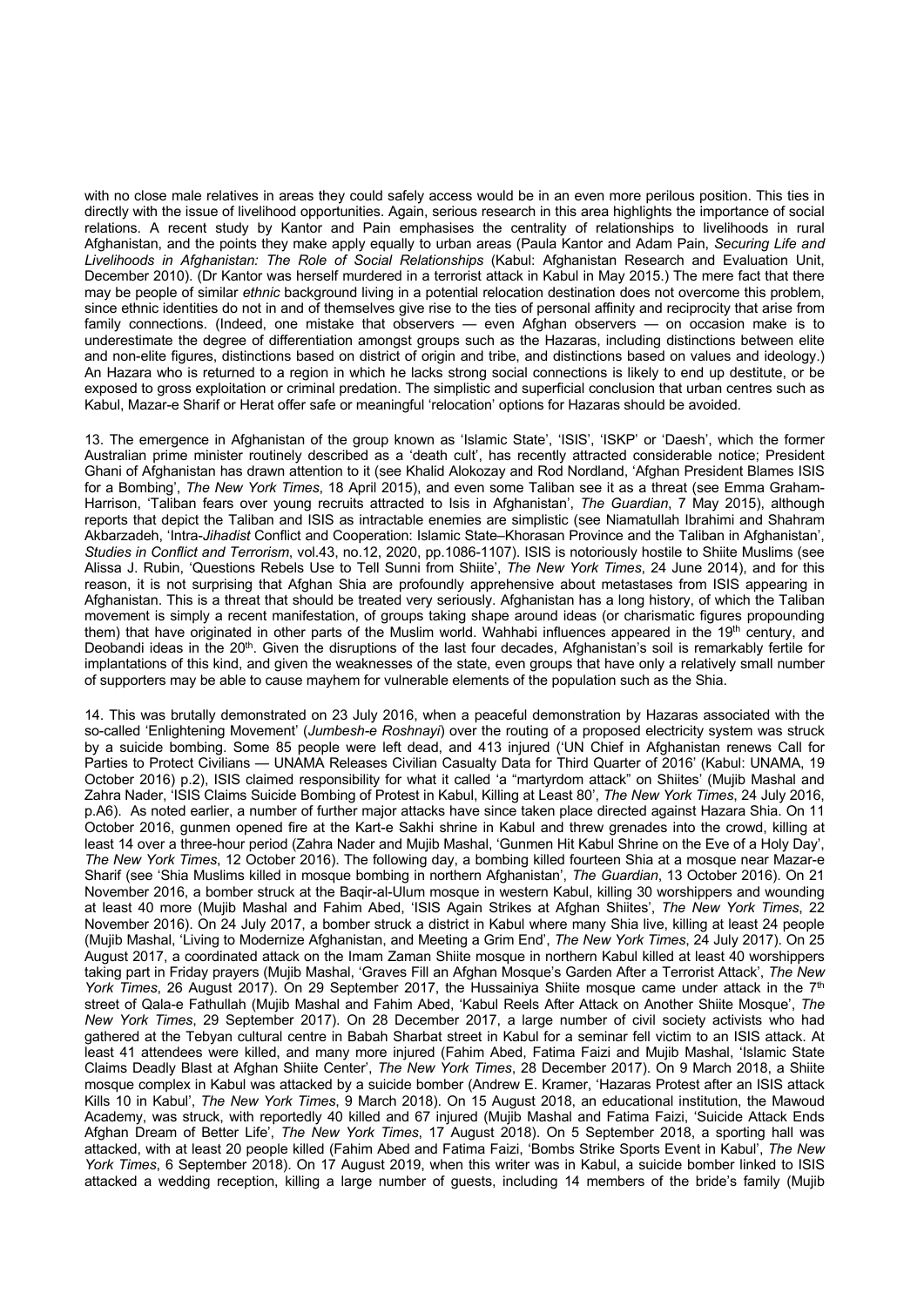with no close male relatives in areas they could safely access would be in an even more perilous position. This ties in directly with the issue of livelihood opportunities. Again, serious research in this area highlights the importance of social relations. A recent study by Kantor and Pain emphasises the centrality of relationships to livelihoods in rural Afghanistan, and the points they make apply equally to urban areas (Paula Kantor and Adam Pain, *Securing Life and Livelihoods in Afghanistan: The Role of Social Relationships* (Kabul: Afghanistan Research and Evaluation Unit, December 2010). (Dr Kantor was herself murdered in a terrorist attack in Kabul in May 2015.) The mere fact that there may be people of similar *ethnic* background living in a potential relocation destination does not overcome this problem, since ethnic identities do not in and of themselves give rise to the ties of personal affinity and reciprocity that arise from family connections. (Indeed, one mistake that observers — even Afghan observers — on occasion make is to underestimate the degree of differentiation amongst groups such as the Hazaras, including distinctions between elite and non-elite figures, distinctions based on district of origin and tribe, and distinctions based on values and ideology.) An Hazara who is returned to a region in which he lacks strong social connections is likely to end up destitute, or be exposed to gross exploitation or criminal predation. The simplistic and superficial conclusion that urban centres such as Kabul, Mazar-e Sharif or Herat offer safe or meaningful 'relocation' options for Hazaras should be avoided.

13. The emergence in Afghanistan of the group known as 'Islamic State', 'ISIS', 'ISKP' or 'Daesh', which the former Australian prime minister routinely described as a 'death cult', has recently attracted considerable notice; President Ghani of Afghanistan has drawn attention to it (see Khalid Alokozay and Rod Nordland, 'Afghan President Blames ISIS for a Bombing', *The New York Times*, 18 April 2015), and even some Taliban see it as a threat (see Emma Graham-Harrison, 'Taliban fears over young recruits attracted to Isis in Afghanistan', *The Guardian*, 7 May 2015), although reports that depict the Taliban and ISIS as intractable enemies are simplistic (see Niamatullah Ibrahimi and Shahram Akbarzadeh, 'Intra-*Jihadist* Conflict and Cooperation: Islamic State–Khorasan Province and the Taliban in Afghanistan', *Studies in Conflict and Terrorism*, vol.43, no.12, 2020, pp.1086-1107). ISIS is notoriously hostile to Shiite Muslims (see Alissa J. Rubin, 'Questions Rebels Use to Tell Sunni from Shiite', *The New York Times*, 24 June 2014), and for this reason, it is not surprising that Afghan Shia are profoundly apprehensive about metastases from ISIS appearing in Afghanistan. This is a threat that should be treated very seriously. Afghanistan has a long history, of which the Taliban movement is simply a recent manifestation, of groups taking shape around ideas (or charismatic figures propounding them) that have originated in other parts of the Muslim world. Wahhabi influences appeared in the 19<sup>th</sup> century, and Deobandi ideas in the 20<sup>th</sup>. Given the disruptions of the last four decades, Afghanistan's soil is remarkably fertile for implantations of this kind, and given the weaknesses of the state, even groups that have only a relatively small number of supporters may be able to cause mayhem for vulnerable elements of the population such as the Shia.

14. This was brutally demonstrated on 23 July 2016, when a peaceful demonstration by Hazaras associated with the so-called 'Enlightening Movement' (*Jumbesh-e Roshnayi*) over the routing of a proposed electricity system was struck by a suicide bombing. Some 85 people were left dead, and 413 injured ('UN Chief in Afghanistan renews Call for Parties to Protect Civilians — UNAMA Releases Civilian Casualty Data for Third Quarter of 2016' (Kabul: UNAMA, 19 October 2016) p.2), ISIS claimed responsibility for what it called 'a "martyrdom attack" on Shiites' (Mujib Mashal and Zahra Nader, 'ISIS Claims Suicide Bombing of Protest in Kabul, Killing at Least 80', *The New York Times*, 24 July 2016, p.A6). As noted earlier, a number of further major attacks have since taken place directed against Hazara Shia. On 11 October 2016, gunmen opened fire at the Kart-e Sakhi shrine in Kabul and threw grenades into the crowd, killing at least 14 over a three-hour period (Zahra Nader and Mujib Mashal, 'Gunmen Hit Kabul Shrine on the Eve of a Holy Day', *The New York Times*, 12 October 2016). The following day, a bombing killed fourteen Shia at a mosque near Mazar-e Sharif (see 'Shia Muslims killed in mosque bombing in northern Afghanistan', *The Guardian*, 13 October 2016). On 21 November 2016, a bomber struck at the Baqir-al-Ulum mosque in western Kabul, killing 30 worshippers and wounding at least 40 more (Mujib Mashal and Fahim Abed, 'ISIS Again Strikes at Afghan Shiites', *The New York Times*, 22 November 2016). On 24 July 2017, a bomber struck a district in Kabul where many Shia live, killing at least 24 people (Mujib Mashal, 'Living to Modernize Afghanistan, and Meeting a Grim End', *The New York Times*, 24 July 2017). On 25 August 2017, a coordinated attack on the Imam Zaman Shiite mosque in northern Kabul killed at least 40 worshippers taking part in Friday prayers (Mujib Mashal, 'Graves Fill an Afghan Mosque's Garden After a Terrorist Attack', *The New York Times*, 26 August 2017). On 29 September 2017, the Hussainiya Shiite mosque came under attack in the 7<sup>th</sup> street of Qala-e Fathullah (Mujib Mashal and Fahim Abed, 'Kabul Reels After Attack on Another Shiite Mosque', *The New York Times*, 29 September 2017). On 28 December 2017, a large number of civil society activists who had gathered at the Tebyan cultural centre in Babah Sharbat street in Kabul for a seminar fell victim to an ISIS attack. At least 41 attendees were killed, and many more injured (Fahim Abed, Fatima Faizi and Mujib Mashal, 'Islamic State Claims Deadly Blast at Afghan Shiite Center', *The New York Times*, 28 December 2017). On 9 March 2018, a Shiite mosque complex in Kabul was attacked by a suicide bomber (Andrew E. Kramer, 'Hazaras Protest after an ISIS attack Kills 10 in Kabul', *The New York Times*, 9 March 2018). On 15 August 2018, an educational institution, the Mawoud Academy, was struck, with reportedly 40 killed and 67 injured (Mujib Mashal and Fatima Faizi, 'Suicide Attack Ends Afghan Dream of Better Life', *The New York Times*, 17 August 2018). On 5 September 2018, a sporting hall was attacked, with at least 20 people killed (Fahim Abed and Fatima Faizi, 'Bombs Strike Sports Event in Kabul', *The New York Times*, 6 September 2018). On 17 August 2019, when this writer was in Kabul, a suicide bomber linked to ISIS attacked a wedding reception, killing a large number of guests, including 14 members of the bride's family (Mujib